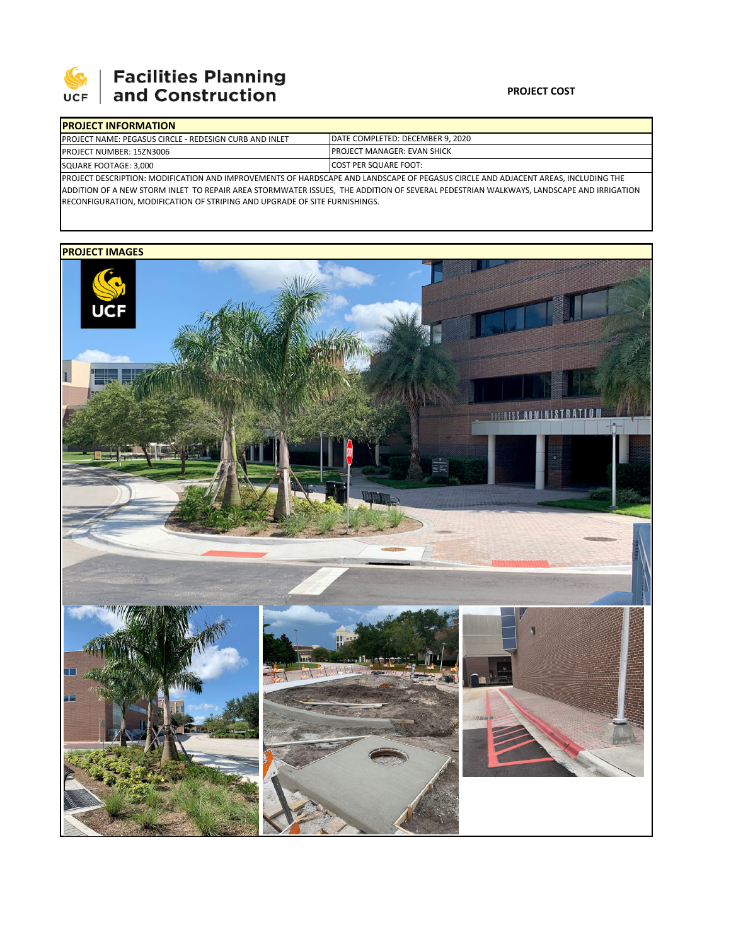

# **Facilities Planning**<br>and Construction

### **PROJECT COST**

| <b>PROJECT INFORMATION</b>                                                                                                            |                                     |  |  |  |  |
|---------------------------------------------------------------------------------------------------------------------------------------|-------------------------------------|--|--|--|--|
| <b>IPROJECT NAME: PEGASUS CIRCLE - REDESIGN CURB AND INLET</b>                                                                        | DATE COMPLETED: DECEMBER 9. 2020    |  |  |  |  |
| <b>PROJECT NUMBER: 15ZN3006</b>                                                                                                       | <b>IPROJECT MANAGER: EVAN SHICK</b> |  |  |  |  |
| SQUARE FOOTAGE: 3,000                                                                                                                 | <b>ICOST PER SQUARE FOOT:</b>       |  |  |  |  |
| PROJECT DESCRIPTION: MODIFICATION AND IMPROVEMENTS OF HARDSCAPE AND LANDSCAPE OF PEGASUS CIRCLE AND ADJACENT AREAS, INCLUDING THE     |                                     |  |  |  |  |
| ADDITION OF A NEW STODM INLET TO BEDAID ABEA STODMINATED ISSUES. THE ADDITION OF SEVERAL BEDESTBIAN WALKMAYS LANDSCABE AND IBBICATION |                                     |  |  |  |  |

ADDITION OF A NEW STORM INLET TO REPAIR AREA STORMWATER ISSUES, THE ADDITION OF SEVERAL PEDESTRIAN WALKWAYS, LANDSCAPE AND IRRIGATION RECONFIGURATION, MODIFICATION OF STRIPING AND UPGRADE OF SITE FURNISHINGS.

## **PROJECT IMAGES**